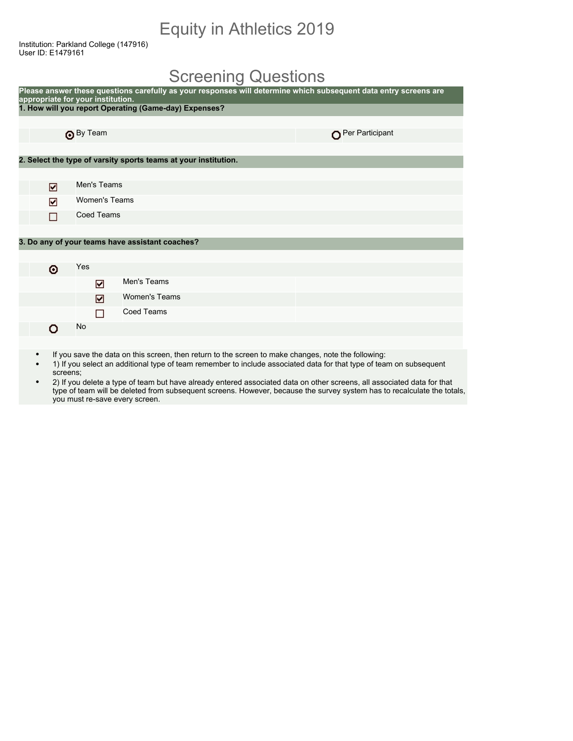## Equity in Athletics 2019

Institution: Parkland College (147916) User ID: E1479161

### Screening Questions

|   | appropriate for your institution. | Please answer these questions carefully as your responses will determine which subsequent data entry screens are |                 |
|---|-----------------------------------|------------------------------------------------------------------------------------------------------------------|-----------------|
|   |                                   | 1. How will you report Operating (Game-day) Expenses?                                                            |                 |
|   |                                   |                                                                                                                  |                 |
|   | By Team                           |                                                                                                                  | Per Participant |
|   |                                   |                                                                                                                  |                 |
|   |                                   | 2. Select the type of varsity sports teams at your institution.                                                  |                 |
|   |                                   |                                                                                                                  |                 |
| ☑ | Men's Teams                       |                                                                                                                  |                 |
| ☑ | Women's Teams                     |                                                                                                                  |                 |
| П | <b>Coed Teams</b>                 |                                                                                                                  |                 |
|   |                                   |                                                                                                                  |                 |
|   |                                   | 3. Do any of your teams have assistant coaches?                                                                  |                 |
|   |                                   |                                                                                                                  |                 |
| o | Yes                               |                                                                                                                  |                 |
|   | ☑                                 | Men's Teams                                                                                                      |                 |
|   | ☑                                 | <b>Women's Teams</b>                                                                                             |                 |
|   | П                                 | <b>Coed Teams</b>                                                                                                |                 |
| n | No                                |                                                                                                                  |                 |
|   |                                   |                                                                                                                  |                 |

- If you save the data on this screen, then return to the screen to make changes, note the following:
- 1) If you select an additional type of team remember to include associated data for that type of team on subsequent screens;
- 2) If you delete a type of team but have already entered associated data on other screens, all associated data for that type of team will be deleted from subsequent screens. However, because the survey system has to recalculate the totals, you must re-save every screen.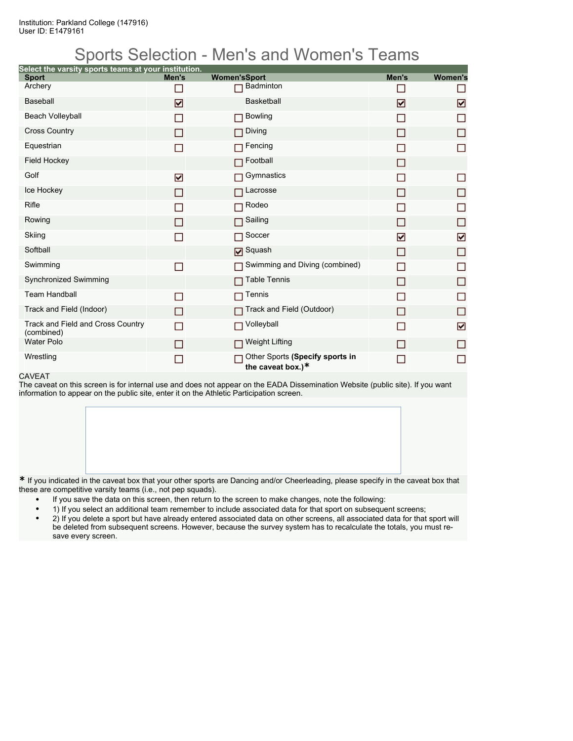## Sports Selection - Men's and Women's Teams

| Select the varsity sports teams at your institution. |       |                                                      |       |                |
|------------------------------------------------------|-------|------------------------------------------------------|-------|----------------|
| <b>Sport</b><br>Archery                              | Men's | <b>Women'sSport</b><br><b>Badminton</b>              | Men's | <b>Women's</b> |
|                                                      | n     |                                                      |       |                |
| <b>Baseball</b>                                      | ⊡     | <b>Basketball</b>                                    | ☑     | ☑              |
| <b>Beach Volleyball</b>                              | П     | <b>Bowling</b><br>П                                  | □     | П              |
| <b>Cross Country</b>                                 | П     | Diving<br>П                                          | П     | П              |
| Equestrian                                           | П     | Fencing                                              |       | П              |
| <b>Field Hockey</b>                                  |       | Football<br>П                                        | П     |                |
| Golf                                                 | ☑     | Gymnastics                                           |       | □              |
| Ice Hockey                                           | П     | Lacrosse<br>П                                        | П     | □              |
| Rifle                                                | ▛     | Rodeo<br>П                                           |       | $\Box$         |
| Rowing                                               | П     | Sailing<br>П                                         | П     | □              |
| Skiing                                               | П     | Soccer<br>П                                          | ☑     | ☑              |
| Softball                                             |       | <b>Ø</b> Squash                                      | П     | $\Box$         |
| Swimming                                             | П     | Swimming and Diving (combined)<br>П                  | П     | □              |
| Synchronized Swimming                                |       | <b>Table Tennis</b><br>П                             | П     | □              |
| <b>Team Handball</b>                                 | П     | Tennis                                               |       | П              |
| Track and Field (Indoor)                             | П     | Track and Field (Outdoor)                            | П     | $\Box$         |
| Track and Field and Cross Country<br>(combined)      | П     | Volleyball<br>П                                      |       | ☑              |
| <b>Water Polo</b>                                    | П     | <b>Weight Lifting</b><br>П                           | П     | □              |
| Wrestling                                            | ▛     | Other Sports (Specify sports in<br>the caveat box.)* |       | П              |

#### CAVEAT

The caveat on this screen is for internal use and does not appear on the EADA Dissemination Website (public site). If you want information to appear on the public site, enter it on the Athletic Participation screen.

**\*** If you indicated in the caveat box that your other sports are Dancing and/or Cheerleading, please specify in the caveat box that these are competitive varsity teams (i.e., not pep squads).

- If you save the data on this screen, then return to the screen to make changes, note the following:
- 1) If you select an additional team remember to include associated data for that sport on subsequent screens;
- 2) If you delete a sport but have already entered associated data on other screens, all associated data for that sport will be deleted from subsequent screens. However, because the survey system has to recalculate the totals, you must resave every screen.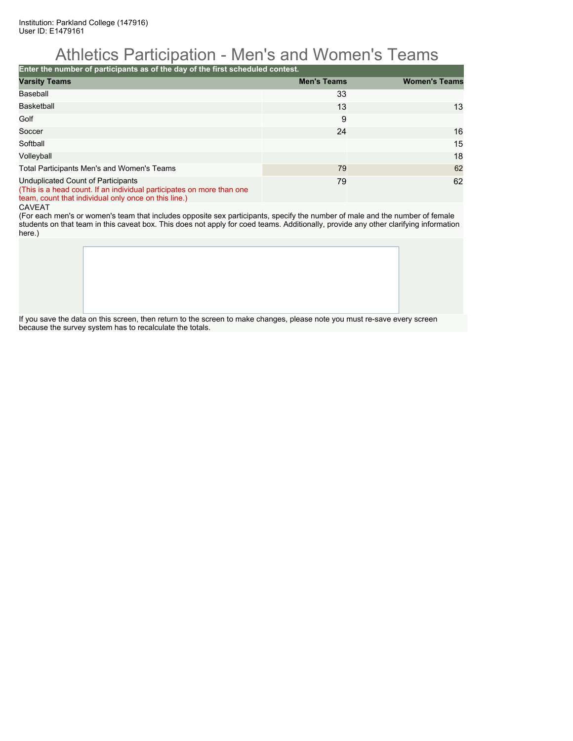## Athletics Participation - Men's and Women's Teams

**Enter the number of participants as of the day of the first scheduled contest.**

| <b>Varsity Teams</b>                                                                                                                                                | <b>Men's Teams</b> | <b>Women's Teams</b> |
|---------------------------------------------------------------------------------------------------------------------------------------------------------------------|--------------------|----------------------|
| Baseball                                                                                                                                                            | 33                 |                      |
| <b>Basketball</b>                                                                                                                                                   | 13                 | 13                   |
| Golf                                                                                                                                                                | 9                  |                      |
| Soccer                                                                                                                                                              | 24                 | 16                   |
| Softball                                                                                                                                                            |                    | 15                   |
| Volleyball                                                                                                                                                          |                    | 18                   |
| Total Participants Men's and Women's Teams                                                                                                                          | 79                 | 62                   |
| Unduplicated Count of Participants<br>(This is a head count. If an individual participates on more than one<br>team, count that individual only once on this line.) | 79                 | 62                   |

CAVEAT

(For each men's or women's team that includes opposite sex participants, specify the number of male and the number of female students on that team in this caveat box. This does not apply for coed teams. Additionally, provide any other clarifying information here.)

If you save the data on this screen, then return to the screen to make changes, please note you must re-save every screen because the survey system has to recalculate the totals.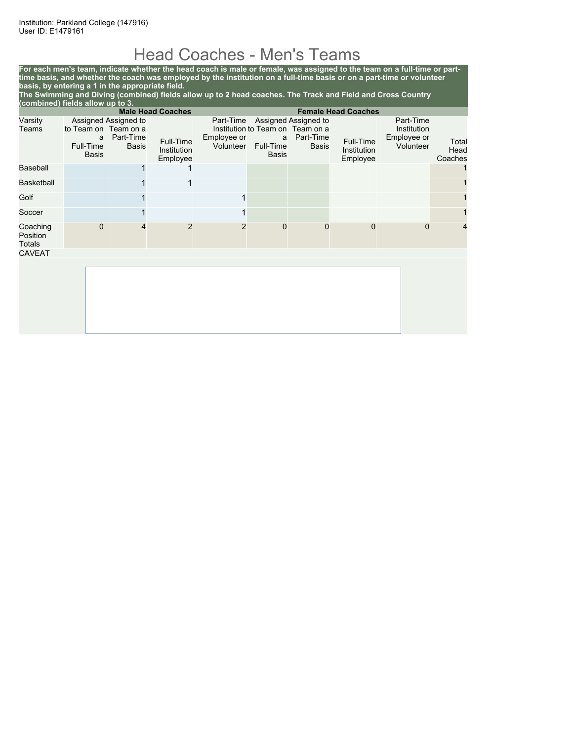## Head Coaches - Men's Teams

**For each men's team, indicate whether the head coach is male or female, was assigned to the team on a full-time or parttime basis, and whether the coach was employed by the institution on a full-time basis or on a part-time or volunteer basis, by entering a 1 in the appropriate field. The Swimming and Diving (combined) fields allow up to 2 head coaches. The Track and Field and Cross Country (combined) fields allow up to 3. Male Head Coaches Female Head Coaches**

| Varsity<br>Teams               |                                | Assigned Assigned to<br>to Team on Team on a |                                      |                          |                         | Part-Time Assigned Assigned to<br>Institution to Team on Team on a |                                      | Part-Time<br>Institution |                          |
|--------------------------------|--------------------------------|----------------------------------------------|--------------------------------------|--------------------------|-------------------------|--------------------------------------------------------------------|--------------------------------------|--------------------------|--------------------------|
|                                | a<br>Full-Time<br><b>Basis</b> | Part-Time<br>Basis                           | Full-Time<br>Institution<br>Employee | Employee or<br>Volunteer | a<br>Full-Time<br>Basis | Part-Time<br>Basis                                                 | Full-Time<br>Institution<br>Employee | Employee or<br>Volunteer | Total<br>Head<br>Coaches |
| Baseball                       |                                |                                              |                                      |                          |                         |                                                                    |                                      |                          |                          |
| <b>Basketball</b>              |                                |                                              | 1                                    |                          |                         |                                                                    |                                      |                          |                          |
| Golf                           |                                |                                              |                                      | 1                        |                         |                                                                    |                                      |                          |                          |
| Soccer                         |                                |                                              |                                      |                          |                         |                                                                    |                                      |                          |                          |
| Coaching<br>Position<br>Totals | 0                              | 4                                            | $\overline{2}$                       | $\overline{2}$           | $\overline{0}$          | $\Omega$                                                           | 0                                    | $\Omega$                 | 4                        |
| <b>CAVEAT</b>                  |                                |                                              |                                      |                          |                         |                                                                    |                                      |                          |                          |
|                                |                                |                                              |                                      |                          |                         |                                                                    |                                      |                          |                          |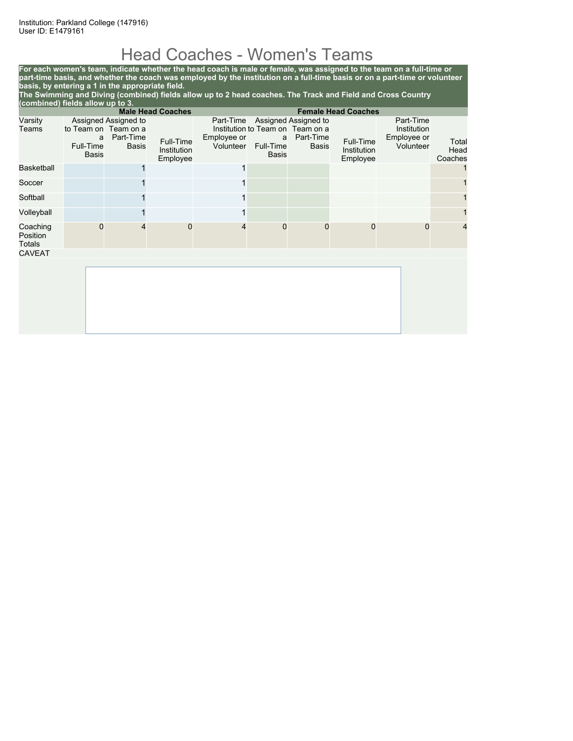# Head Coaches - Women's Teams

**For each women's team, indicate whether the head coach is male or female, was assigned to the team on a full-time or part-time basis, and whether the coach was employed by the institution on a full-time basis or on a part-time or volunteer basis, by entering a 1 in the appropriate field. The Swimming and Diving (combined) fields allow up to 2 head coaches. The Track and Field and Cross Country**

|                                                        | (combined) fields allow up to 3. |                                                                    |                                      |                                       |                                |                                                                                       |                                      |                                                      |                          |
|--------------------------------------------------------|----------------------------------|--------------------------------------------------------------------|--------------------------------------|---------------------------------------|--------------------------------|---------------------------------------------------------------------------------------|--------------------------------------|------------------------------------------------------|--------------------------|
| <b>Male Head Coaches</b><br><b>Female Head Coaches</b> |                                  |                                                                    |                                      |                                       |                                |                                                                                       |                                      |                                                      |                          |
| Varsity<br>Teams                                       | a<br>Full-Time<br><b>Basis</b>   | Assigned Assigned to<br>to Team on Team on a<br>Part-Time<br>Basis | Full-Time<br>Institution<br>Employee | Part-Time<br>Employee or<br>Volunteer | a<br>Full-Time<br><b>Basis</b> | Assigned Assigned to<br>Institution to Team on Team on a<br>Part-Time<br><b>Basis</b> | Full-Time<br>Institution<br>Employee | Part-Time<br>Institution<br>Employee or<br>Volunteer | Total<br>Head<br>Coaches |
| <b>Basketball</b>                                      |                                  |                                                                    |                                      | 1                                     |                                |                                                                                       |                                      |                                                      |                          |
| Soccer                                                 |                                  |                                                                    |                                      | 1                                     |                                |                                                                                       |                                      |                                                      |                          |
| Softball                                               |                                  |                                                                    |                                      |                                       |                                |                                                                                       |                                      |                                                      |                          |
| Volleyball                                             |                                  |                                                                    |                                      |                                       |                                |                                                                                       |                                      |                                                      |                          |
| Coaching<br>Position<br>Totals                         | $\Omega$                         |                                                                    | $\Omega$                             | 4                                     | $\mathbf 0$                    | $\Omega$                                                                              | $\mathbf{0}$                         | $\Omega$                                             | 4                        |
| <b>CAVEAT</b>                                          |                                  |                                                                    |                                      |                                       |                                |                                                                                       |                                      |                                                      |                          |
|                                                        |                                  |                                                                    |                                      |                                       |                                |                                                                                       |                                      |                                                      |                          |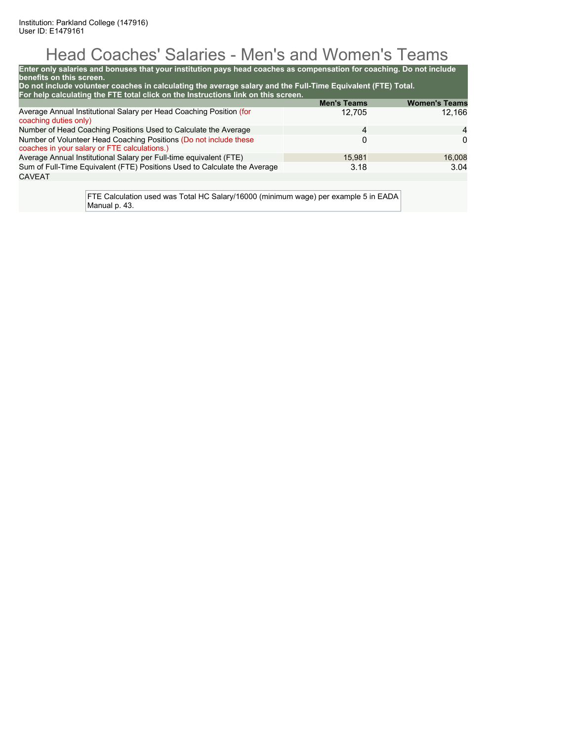# Head Coaches' Salaries - Men's and Women's Teams

| benefits on this screen.                                                                                          | Enter only salaries and bonuses that your institution pays head coaches as compensation for coaching. Do not include |                    |                      |  |  |  |
|-------------------------------------------------------------------------------------------------------------------|----------------------------------------------------------------------------------------------------------------------|--------------------|----------------------|--|--|--|
|                                                                                                                   | Do not include volunteer coaches in calculating the average salary and the Full-Time Equivalent (FTE) Total.         |                    |                      |  |  |  |
|                                                                                                                   | For help calculating the FTE total click on the Instructions link on this screen.                                    | <b>Men's Teams</b> | <b>Women's Teams</b> |  |  |  |
| Average Annual Institutional Salary per Head Coaching Position (for<br>coaching duties only)                      |                                                                                                                      | 12.705             | 12.166               |  |  |  |
| Number of Head Coaching Positions Used to Calculate the Average<br>4                                              |                                                                                                                      |                    |                      |  |  |  |
| Number of Volunteer Head Coaching Positions (Do not include these<br>coaches in your salary or FTE calculations.) |                                                                                                                      | 0                  | $\Omega$             |  |  |  |
| Average Annual Institutional Salary per Full-time equivalent (FTE)                                                |                                                                                                                      | 15.981             | 16,008               |  |  |  |
|                                                                                                                   | Sum of Full-Time Equivalent (FTE) Positions Used to Calculate the Average                                            | 3.18               | 3.04                 |  |  |  |
| <b>CAVEAT</b>                                                                                                     |                                                                                                                      |                    |                      |  |  |  |
|                                                                                                                   | FTE Calculation used was Total HC Salary/16000 (minimum wage) per example 5 in EADA                                  |                    |                      |  |  |  |

Manual p. 43.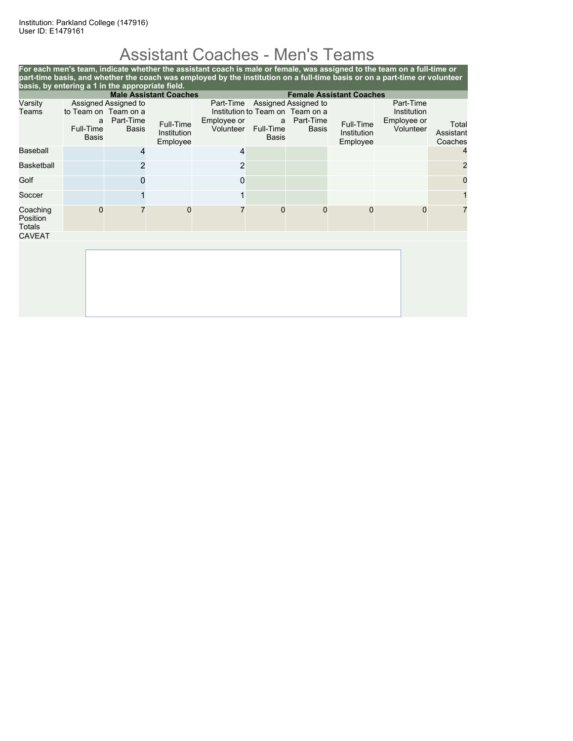# Assistant Coaches - Men's Teams

| basis, by entering a 1 in the appropriate field.                 |                                                        |                                                   |                                      | For each men's team, indicate whether the assistant coach is male or female, was assigned to the team on a full-time or<br>part-time basis, and whether the coach was employed by the institution on a full-time basis or on a part-time or volunteer |                                |                                                                                       |                                      |                                                      |                               |
|------------------------------------------------------------------|--------------------------------------------------------|---------------------------------------------------|--------------------------------------|-------------------------------------------------------------------------------------------------------------------------------------------------------------------------------------------------------------------------------------------------------|--------------------------------|---------------------------------------------------------------------------------------|--------------------------------------|------------------------------------------------------|-------------------------------|
| <b>Male Assistant Coaches</b><br><b>Female Assistant Coaches</b> |                                                        |                                                   |                                      |                                                                                                                                                                                                                                                       |                                |                                                                                       |                                      |                                                      |                               |
| Varsity<br>Teams                                                 | to Team on Team on a<br>a<br>Full-Time<br><b>Basis</b> | Assigned Assigned to<br>Part-Time<br><b>Basis</b> | Full-Time<br>Institution<br>Employee | Part-Time<br>Employee or<br>Volunteer                                                                                                                                                                                                                 | a<br>Full-Time<br><b>Basis</b> | Assigned Assigned to<br>Institution to Team on Team on a<br>Part-Time<br><b>Basis</b> | Full-Time<br>Institution<br>Employee | Part-Time<br>Institution<br>Employee or<br>Volunteer | Total<br>Assistant<br>Coaches |
| Baseball                                                         |                                                        | 4                                                 |                                      | 4                                                                                                                                                                                                                                                     |                                |                                                                                       |                                      |                                                      | 4                             |
| <b>Basketball</b>                                                |                                                        | 2                                                 |                                      | 2                                                                                                                                                                                                                                                     |                                |                                                                                       |                                      |                                                      | $\overline{2}$                |
| Golf                                                             |                                                        |                                                   |                                      | 0                                                                                                                                                                                                                                                     |                                |                                                                                       |                                      |                                                      | 0                             |
| Soccer                                                           |                                                        |                                                   |                                      |                                                                                                                                                                                                                                                       |                                |                                                                                       |                                      |                                                      |                               |
| Coaching<br>Position<br>Totals                                   | $\Omega$                                               |                                                   | $\mathbf 0$                          |                                                                                                                                                                                                                                                       | $\mathbf 0$                    | $\Omega$                                                                              | $\mathbf{0}$                         | $\Omega$                                             | 7                             |
| <b>CAVEAT</b>                                                    |                                                        |                                                   |                                      |                                                                                                                                                                                                                                                       |                                |                                                                                       |                                      |                                                      |                               |
|                                                                  |                                                        |                                                   |                                      |                                                                                                                                                                                                                                                       |                                |                                                                                       |                                      |                                                      |                               |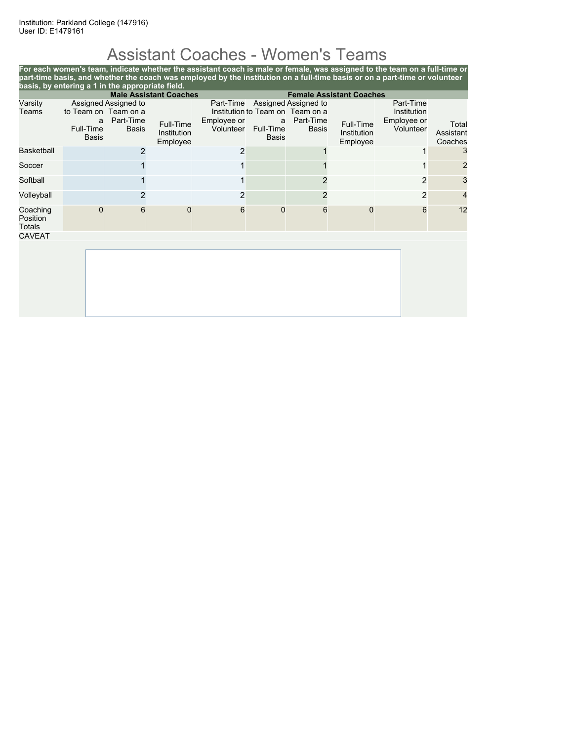# Assistant Coaches - Women's Teams

| basis, by entering a 1 in the appropriate field.                 |                                                        |                                                   |                                      | For each women's team, indicate whether the assistant coach is male or female, was assigned to the team on a full-time or<br>part-time basis, and whether the coach was employed by the institution on a full-time basis or on a part-time or volunteer |                                |                                                                                       |                                      |                                                      |                               |
|------------------------------------------------------------------|--------------------------------------------------------|---------------------------------------------------|--------------------------------------|---------------------------------------------------------------------------------------------------------------------------------------------------------------------------------------------------------------------------------------------------------|--------------------------------|---------------------------------------------------------------------------------------|--------------------------------------|------------------------------------------------------|-------------------------------|
| <b>Male Assistant Coaches</b><br><b>Female Assistant Coaches</b> |                                                        |                                                   |                                      |                                                                                                                                                                                                                                                         |                                |                                                                                       |                                      |                                                      |                               |
| Varsity<br>Teams                                                 | to Team on Team on a<br>a<br>Full-Time<br><b>Basis</b> | Assigned Assigned to<br>Part-Time<br><b>Basis</b> | Full-Time<br>Institution<br>Employee | Part-Time<br>Employee or<br>Volunteer                                                                                                                                                                                                                   | a<br>Full-Time<br><b>Basis</b> | Assigned Assigned to<br>Institution to Team on Team on a<br>Part-Time<br><b>Basis</b> | Full-Time<br>Institution<br>Employee | Part-Time<br>Institution<br>Employee or<br>Volunteer | Total<br>Assistant<br>Coaches |
| <b>Basketball</b>                                                |                                                        | 2                                                 |                                      | 2                                                                                                                                                                                                                                                       |                                |                                                                                       |                                      |                                                      | 3                             |
| Soccer                                                           |                                                        |                                                   |                                      |                                                                                                                                                                                                                                                         |                                |                                                                                       |                                      |                                                      | $\overline{2}$                |
| Softball                                                         |                                                        |                                                   |                                      |                                                                                                                                                                                                                                                         |                                |                                                                                       |                                      | 2                                                    | 3                             |
| Volleyball                                                       |                                                        |                                                   |                                      | 2                                                                                                                                                                                                                                                       |                                | 2                                                                                     |                                      | 2                                                    | 4                             |
| Coaching<br>Position<br><b>Totals</b>                            | $\Omega$                                               | 6                                                 | $\Omega$                             | 6                                                                                                                                                                                                                                                       | $\Omega$                       | 6                                                                                     | $\Omega$                             | 6                                                    | 12                            |
| <b>CAVEAT</b>                                                    |                                                        |                                                   |                                      |                                                                                                                                                                                                                                                         |                                |                                                                                       |                                      |                                                      |                               |
|                                                                  |                                                        |                                                   |                                      |                                                                                                                                                                                                                                                         |                                |                                                                                       |                                      |                                                      |                               |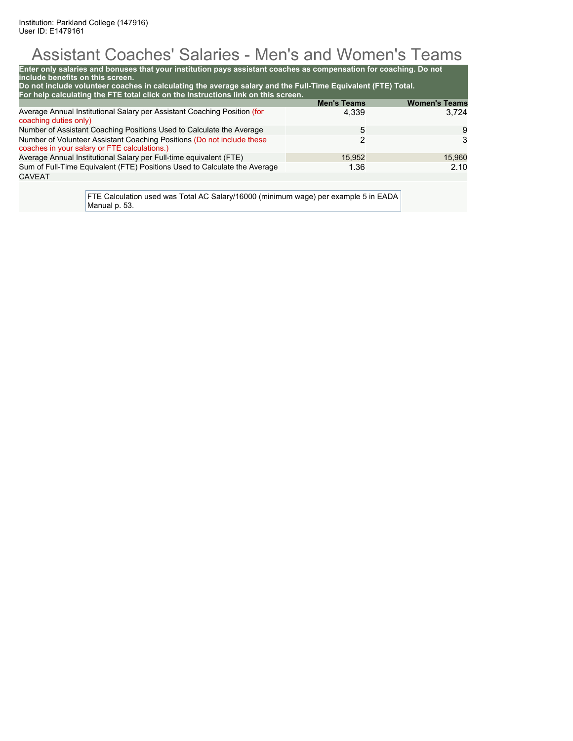# Assistant Coaches' Salaries - Men's and Women's Teams

| Enter only salaries and bonuses that your institution pays assistant coaches as compensation for coaching. Do not<br>include benefits on this screen.<br>Do not include volunteer coaches in calculating the average salary and the Full-Time Equivalent (FTE) Total. |                    |                      |  |  |  |  |
|-----------------------------------------------------------------------------------------------------------------------------------------------------------------------------------------------------------------------------------------------------------------------|--------------------|----------------------|--|--|--|--|
| For help calculating the FTE total click on the Instructions link on this screen.                                                                                                                                                                                     |                    |                      |  |  |  |  |
|                                                                                                                                                                                                                                                                       | <b>Men's Teams</b> | <b>Women's Teams</b> |  |  |  |  |
| Average Annual Institutional Salary per Assistant Coaching Position (for<br>coaching duties only)                                                                                                                                                                     | 4.339              | 3.724                |  |  |  |  |
| Number of Assistant Coaching Positions Used to Calculate the Average<br>5                                                                                                                                                                                             |                    |                      |  |  |  |  |
| Number of Volunteer Assistant Coaching Positions (Do not include these<br>coaches in your salary or FTE calculations.)                                                                                                                                                | 2                  | 3                    |  |  |  |  |
| Average Annual Institutional Salary per Full-time equivalent (FTE)                                                                                                                                                                                                    | 15,952             | 15,960               |  |  |  |  |
| Sum of Full-Time Equivalent (FTE) Positions Used to Calculate the Average<br>2.10<br>1.36                                                                                                                                                                             |                    |                      |  |  |  |  |
| <b>CAVEAT</b>                                                                                                                                                                                                                                                         |                    |                      |  |  |  |  |
| FTE Calculation used was Total AC Salary/16000 (minimum wage) per example 5 in EADA                                                                                                                                                                                   |                    |                      |  |  |  |  |

Manual p. 53.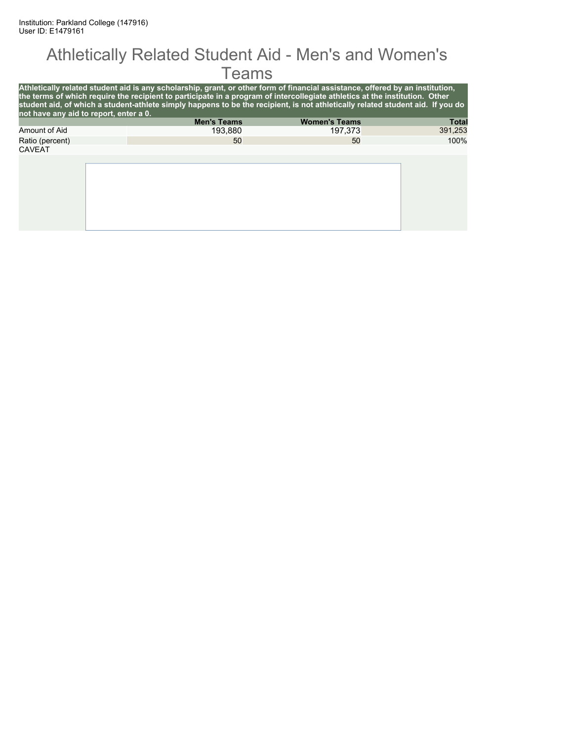#### Athletically Related Student Aid - Men's and Women's **Teams**

| not have any aid to report, enter a 0. | Athletically related student aid is any scholarship, grant, or other form of financial assistance, offered by an institution,<br>the terms of which require the recipient to participate in a program of intercollegiate athletics at the institution. Other<br>student aid, of which a student-athlete simply happens to be the recipient, is not athletically related student aid. If you do |                      |              |
|----------------------------------------|------------------------------------------------------------------------------------------------------------------------------------------------------------------------------------------------------------------------------------------------------------------------------------------------------------------------------------------------------------------------------------------------|----------------------|--------------|
|                                        | <b>Men's Teams</b>                                                                                                                                                                                                                                                                                                                                                                             | <b>Women's Teams</b> | <b>Total</b> |
| Amount of Aid                          | 193.880                                                                                                                                                                                                                                                                                                                                                                                        | 197.373              | 391,253      |
| Ratio (percent)                        | 50                                                                                                                                                                                                                                                                                                                                                                                             | 50                   | 100%         |
| <b>CAVEAT</b>                          |                                                                                                                                                                                                                                                                                                                                                                                                |                      |              |
|                                        |                                                                                                                                                                                                                                                                                                                                                                                                |                      |              |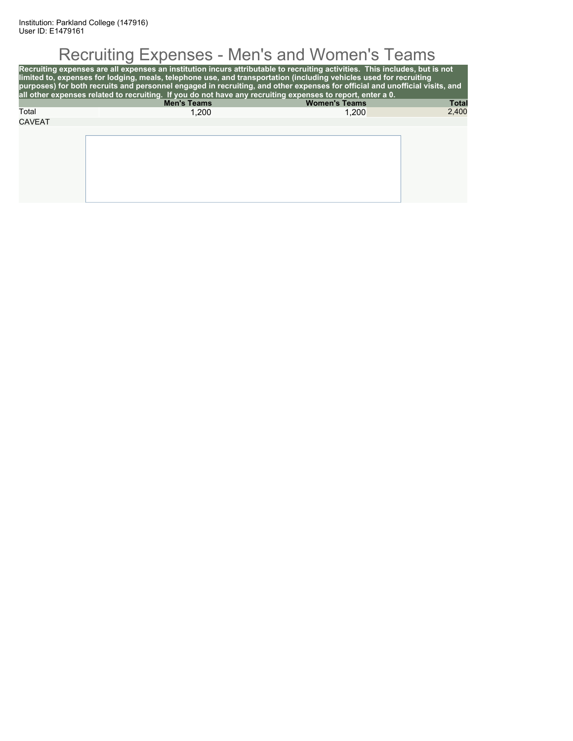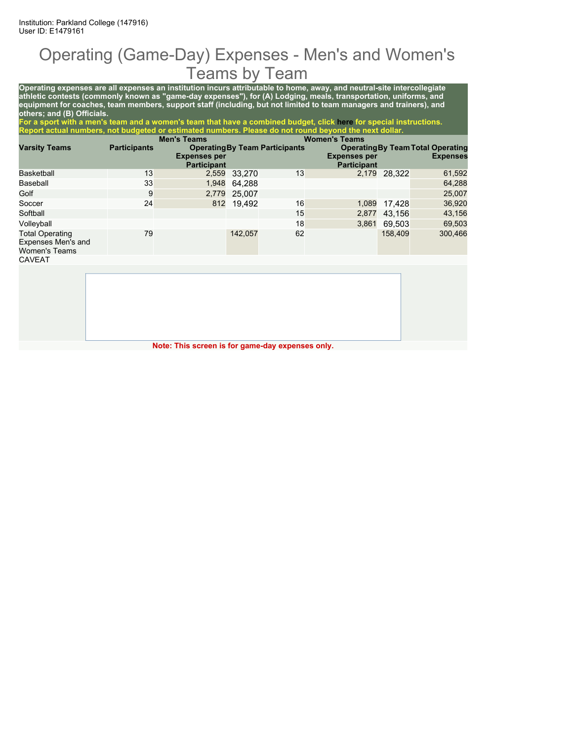#### Operating (Game-Day) Expenses - Men's and Women's Teams by Team

**Operating expenses are all expenses an institution incurs attributable to home, away, and neutral-site intercollegiate athletic contests (commonly known as "game-day expenses"), for (A) Lodging, meals, transportation, uniforms, and equipment for coaches, team members, support staff (including, but not limited to team managers and trainers), and others; and (B) Officials.**

**For a sport with a men's team and a women's team that have a combined budget, click here for special instructions. Report actual numbers, not budgeted or estimated numbers. Please do not round beyond the next dollar.**

|                                                                      | <b>Men's Teams</b>  |                                           |              | <b>Women's Teams</b>                  |                                           |              |                                                             |
|----------------------------------------------------------------------|---------------------|-------------------------------------------|--------------|---------------------------------------|-------------------------------------------|--------------|-------------------------------------------------------------|
| <b>Varsity Teams</b>                                                 | <b>Participants</b> | <b>Expenses per</b><br><b>Participant</b> |              | <b>Operating By Team Participants</b> | <b>Expenses per</b><br><b>Participant</b> |              | <b>Operating By Team Total Operating</b><br><b>Expenses</b> |
| Basketball                                                           | 13                  |                                           | 2,559 33.270 | 13                                    |                                           | 2,179 28.322 | 61,592                                                      |
| Baseball                                                             | 33                  | 1,948                                     | 64.288       |                                       |                                           |              | 64,288                                                      |
| Golf                                                                 | 9                   |                                           | 2,779 25,007 |                                       |                                           |              | 25,007                                                      |
| Soccer                                                               | 24                  |                                           | 812 19.492   | 16                                    | 1,089                                     | 17,428       | 36,920                                                      |
| Softball                                                             |                     |                                           |              | 15                                    | 2,877                                     | 43.156       | 43,156                                                      |
| Volleyball                                                           |                     |                                           |              | 18                                    | 3,861                                     | 69.503       | 69,503                                                      |
| <b>Total Operating</b><br>Expenses Men's and<br><b>Women's Teams</b> | 79                  |                                           | 142,057      | 62                                    |                                           | 158.409      | 300,466                                                     |
| CAVEAT                                                               |                     |                                           |              |                                       |                                           |              |                                                             |

**Note: This screen is for game-day expenses only.**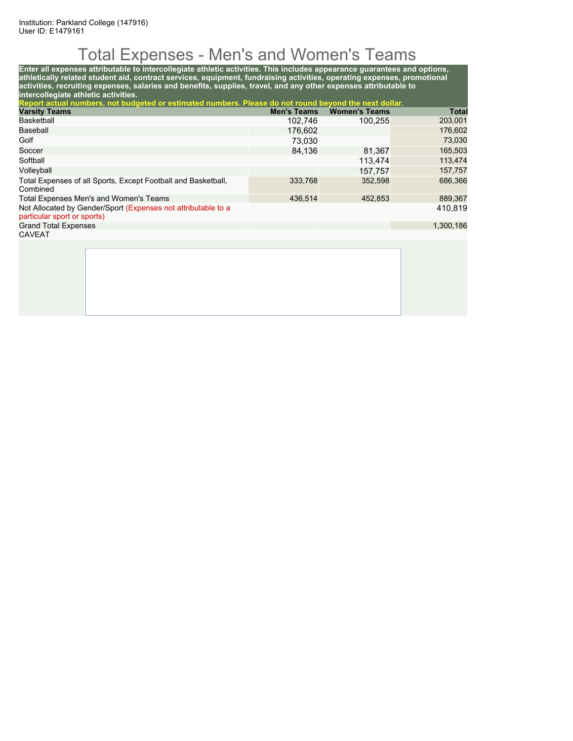## Total Expenses - Men's and Women's Teams

**Enter all expenses attributable to intercollegiate athletic activities. This includes appearance guarantees and options, athletically related student aid, contract services, equipment, fundraising activities, operating expenses, promotional activities, recruiting expenses, salaries and benefits, supplies, travel, and any other expenses attributable to intercollegiate athletic activities. Report actual numbers, not budgeted or estimated numbers. Please do not round beyond the next dollar. Varsity Teams Men's Teams Women's Teams Total** Basketball 102,746 100,255 203,001 Baseball 176,602 176,602 Golf 73,030 73,030 Soccer 84,136 81,367 165,503 Softball 113,474 113,474 Volleyball 157,757 157,757 Total Expenses of all Sports, Except Football and Basketball, Combined 333,768 352,598 686,366 Total Expenses Men's and Women's Teams **436,514** 436,514 452,853 436,367 Not Allocated by Gender/Sport (Expenses not attributable to a particular sport or sports) 410,819 Grand Total Expenses 1,300,186 CAVEAT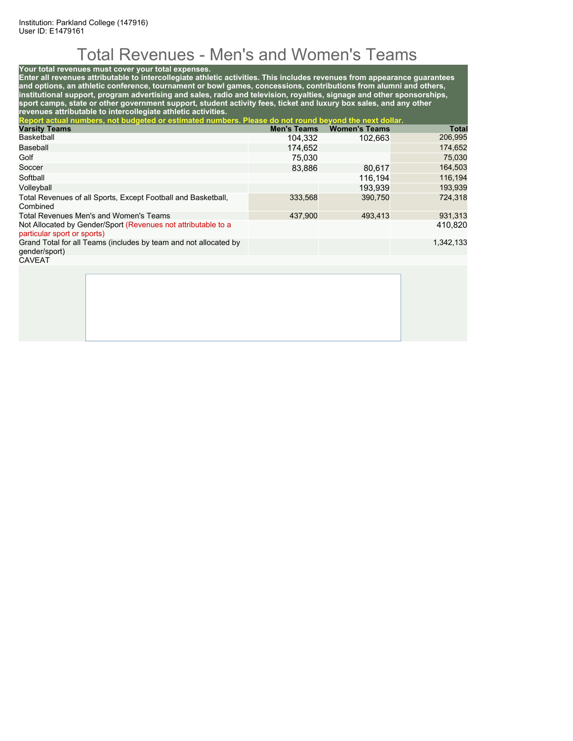# Total Revenues - Men's and Women's Teams

#### **Your total revenues must cover your total expenses.**

**Enter all revenues attributable to intercollegiate athletic activities. This includes revenues from appearance guarantees and options, an athletic conference, tournament or bowl games, concessions, contributions from alumni and others, institutional support, program advertising and sales, radio and television, royalties, signage and other sponsorships, sport camps, state or other government support, student activity fees, ticket and luxury box sales, and any other revenues attributable to intercollegiate athletic activities.**

| Report actual numbers, not budgeted or estimated numbers. Please do not round beyond the next dollar. |                    |                      |           |
|-------------------------------------------------------------------------------------------------------|--------------------|----------------------|-----------|
| <b>Varsity Teams</b>                                                                                  | <b>Men's Teams</b> | <b>Women's Teams</b> | Total     |
| Basketball                                                                                            | 104,332            | 102,663              | 206,995   |
| Baseball                                                                                              | 174,652            |                      | 174,652   |
| Golf                                                                                                  | 75.030             |                      | 75,030    |
| Soccer                                                                                                | 83,886             | 80,617               | 164,503   |
| Softball                                                                                              |                    | 116.194              | 116,194   |
| Volleyball                                                                                            |                    | 193.939              | 193,939   |
| Total Revenues of all Sports, Except Football and Basketball,<br>Combined                             | 333,568            | 390.750              | 724.318   |
| Total Revenues Men's and Women's Teams                                                                | 437,900            | 493,413              | 931,313   |
| Not Allocated by Gender/Sport (Revenues not attributable to a<br>particular sport or sports)          |                    |                      | 410,820   |
| Grand Total for all Teams (includes by team and not allocated by<br>gender/sport)                     |                    |                      | 1,342,133 |
| <b>CAVEAT</b>                                                                                         |                    |                      |           |
|                                                                                                       |                    |                      |           |
|                                                                                                       |                    |                      |           |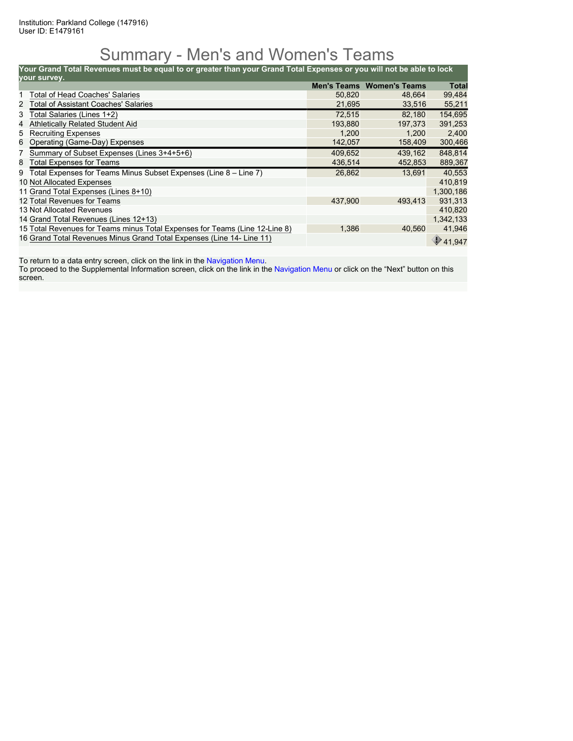### Summary - Men's and Women's Teams

**Your Grand Total Revenues must be equal to or greater than your Grand Total Expenses or you will not be able to lock**

| your survey. |                                                                             |         |                                  |              |
|--------------|-----------------------------------------------------------------------------|---------|----------------------------------|--------------|
|              |                                                                             |         | <b>Men's Teams Women's Teams</b> | <b>Total</b> |
|              | <b>Total of Head Coaches' Salaries</b>                                      | 50,820  | 48.664                           | 99,484       |
| 2            | <b>Total of Assistant Coaches' Salaries</b>                                 | 21,695  | 33,516                           | 55,211       |
| 3            | Total Salaries (Lines 1+2)                                                  | 72,515  | 82,180                           | 154,695      |
| 4            | <b>Athletically Related Student Aid</b>                                     | 193,880 | 197.373                          | 391,253      |
| 5            | <b>Recruiting Expenses</b>                                                  | 1,200   | 1,200                            | 2,400        |
| 6            | Operating (Game-Day) Expenses                                               | 142,057 | 158,409                          | 300,466      |
|              | Summary of Subset Expenses (Lines 3+4+5+6)                                  | 409.652 | 439.162                          | 848,814      |
| 8            | <b>Total Expenses for Teams</b>                                             | 436,514 | 452,853                          | 889,367      |
| 9            | Total Expenses for Teams Minus Subset Expenses (Line 8 – Line 7)            | 26,862  | 13.691                           | 40.553       |
|              | 10 Not Allocated Expenses                                                   |         |                                  | 410,819      |
|              | 11 Grand Total Expenses (Lines 8+10)                                        |         |                                  | 1,300,186    |
|              | 12 Total Revenues for Teams                                                 | 437,900 | 493.413                          | 931,313      |
|              | 13 Not Allocated Revenues                                                   |         |                                  | 410,820      |
|              | 14 Grand Total Revenues (Lines 12+13)                                       |         |                                  | 1,342,133    |
|              | 15 Total Revenues for Teams minus Total Expenses for Teams (Line 12-Line 8) | 1,386   | 40.560                           | 41,946       |
|              | 16 Grand Total Revenues Minus Grand Total Expenses (Line 14- Line 11)       |         |                                  | 41.947       |

To return to a data entry screen, click on the link in the Navigation Menu.

To proceed to the Supplemental Information screen, click on the link in the Navigation Menu or click on the "Next" button on this screen.